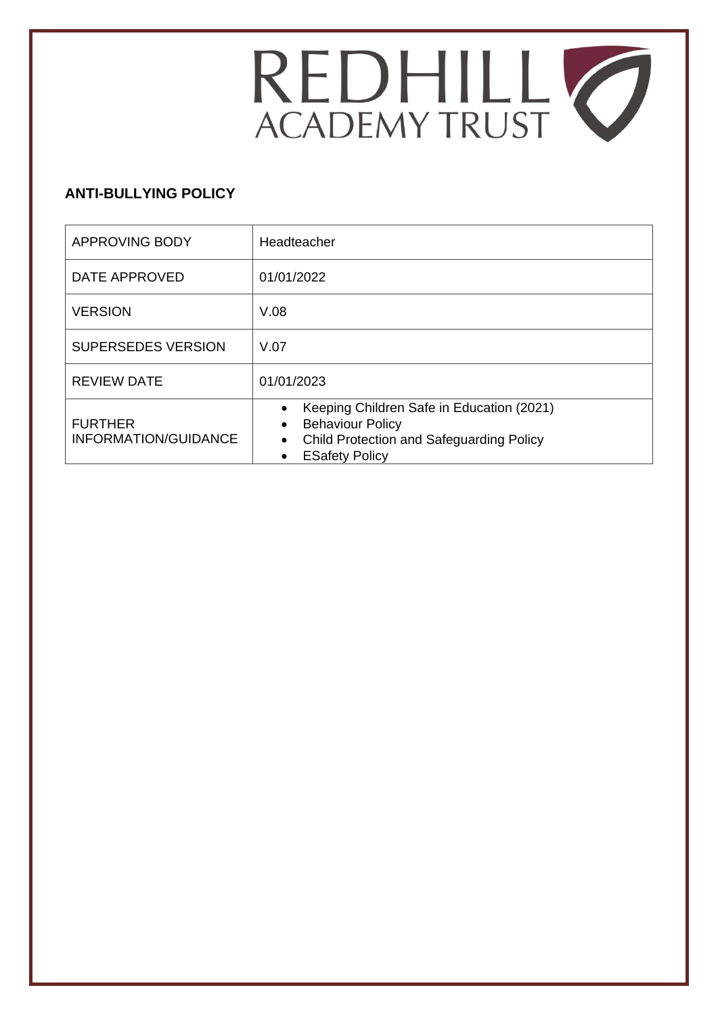

# **ANTI-BULLYING POLICY**

| <b>APPROVING BODY</b>                  | Headteacher                                                                                                                                                                |  |
|----------------------------------------|----------------------------------------------------------------------------------------------------------------------------------------------------------------------------|--|
| DATE APPROVED                          | 01/01/2022                                                                                                                                                                 |  |
| <b>VERSION</b>                         | V.08                                                                                                                                                                       |  |
| <b>SUPERSEDES VERSION</b>              | V.07                                                                                                                                                                       |  |
| <b>REVIEW DATE</b>                     | 01/01/2023                                                                                                                                                                 |  |
| <b>FURTHER</b><br>INFORMATION/GUIDANCE | Keeping Children Safe in Education (2021)<br><b>Behaviour Policy</b><br>$\bullet$<br><b>Child Protection and Safeguarding Policy</b><br>$\bullet$<br><b>ESafety Policy</b> |  |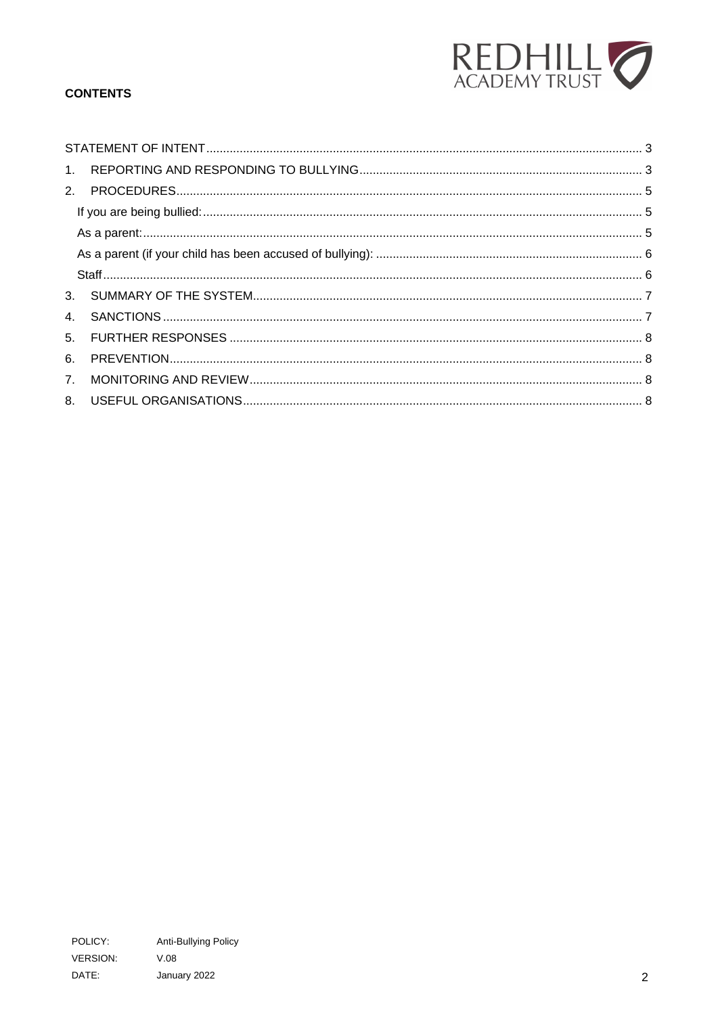

## **CONTENTS**

| 6. |  |
|----|--|
|    |  |
|    |  |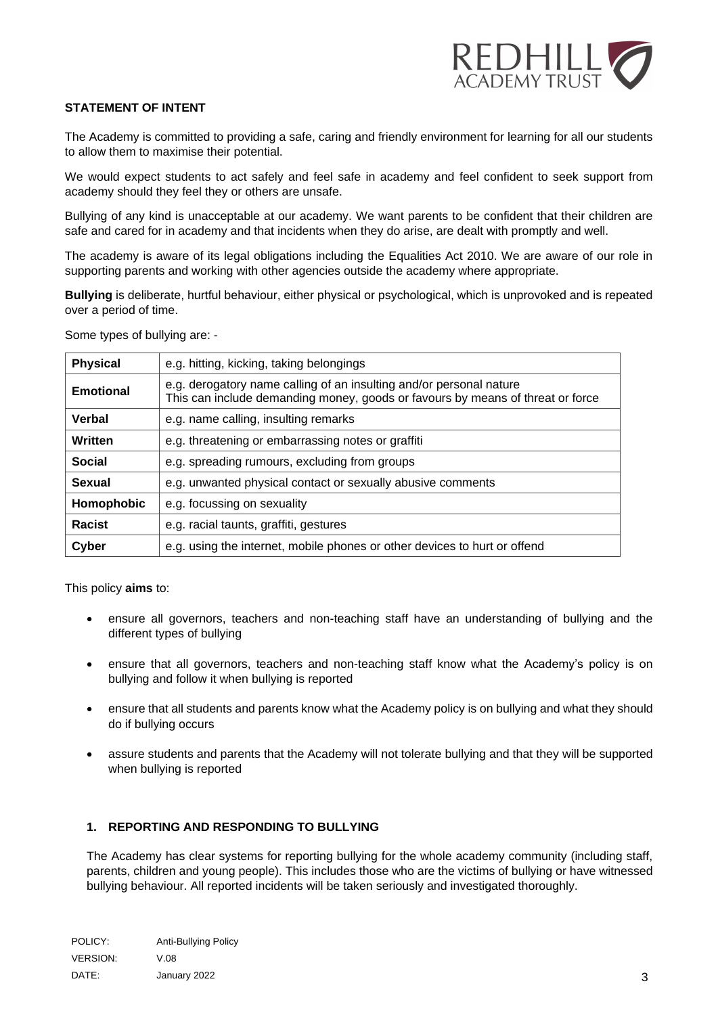

## <span id="page-2-0"></span>**STATEMENT OF INTENT**

The Academy is committed to providing a safe, caring and friendly environment for learning for all our students to allow them to maximise their potential.

We would expect students to act safely and feel safe in academy and feel confident to seek support from academy should they feel they or others are unsafe.

Bullying of any kind is unacceptable at our academy. We want parents to be confident that their children are safe and cared for in academy and that incidents when they do arise, are dealt with promptly and well.

The academy is aware of its legal obligations including the Equalities Act 2010. We are aware of our role in supporting parents and working with other agencies outside the academy where appropriate.

**Bullying** is deliberate, hurtful behaviour, either physical or psychological, which is unprovoked and is repeated over a period of time.

Some types of bullying are: -

| <b>Physical</b>  | e.g. hitting, kicking, taking belongings                                                                                                              |  |
|------------------|-------------------------------------------------------------------------------------------------------------------------------------------------------|--|
| <b>Emotional</b> | e.g. derogatory name calling of an insulting and/or personal nature<br>This can include demanding money, goods or favours by means of threat or force |  |
| Verbal           | e.g. name calling, insulting remarks                                                                                                                  |  |
| Written          | e.g. threatening or embarrassing notes or graffiti                                                                                                    |  |
| <b>Social</b>    | e.g. spreading rumours, excluding from groups                                                                                                         |  |
| <b>Sexual</b>    | e.g. unwanted physical contact or sexually abusive comments                                                                                           |  |
| Homophobic       | e.g. focussing on sexuality                                                                                                                           |  |
| Racist           | e.g. racial taunts, graffiti, gestures                                                                                                                |  |
| Cyber            | e.g. using the internet, mobile phones or other devices to hurt or offend                                                                             |  |

<span id="page-2-1"></span>This policy **aims** to:

- ensure all governors, teachers and non-teaching staff have an understanding of bullying and the different types of bullying
- ensure that all governors, teachers and non-teaching staff know what the Academy's policy is on bullying and follow it when bullying is reported
- ensure that all students and parents know what the Academy policy is on bullying and what they should do if bullying occurs
- assure students and parents that the Academy will not tolerate bullying and that they will be supported when bullying is reported

## **1. REPORTING AND RESPONDING TO BULLYING**

The Academy has clear systems for reporting bullying for the whole academy community (including staff, parents, children and young people). This includes those who are the victims of bullying or have witnessed bullying behaviour. All reported incidents will be taken seriously and investigated thoroughly.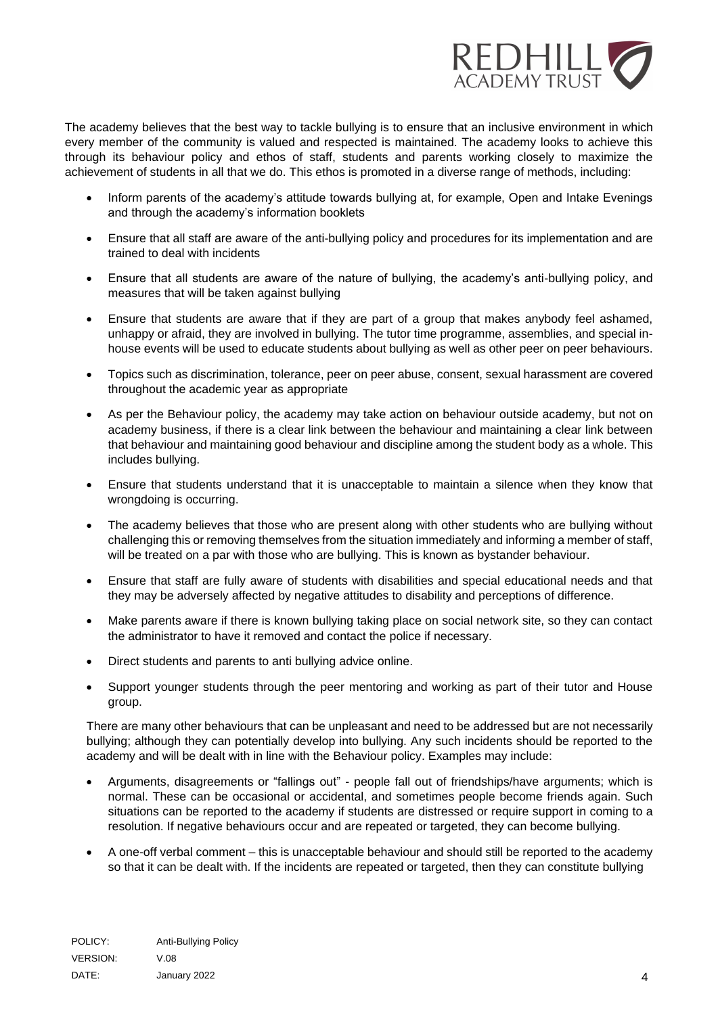

The academy believes that the best way to tackle bullying is to ensure that an inclusive environment in which every member of the community is valued and respected is maintained. The academy looks to achieve this through its behaviour policy and ethos of staff, students and parents working closely to maximize the achievement of students in all that we do. This ethos is promoted in a diverse range of methods, including:

- Inform parents of the academy's attitude towards bullying at, for example, Open and Intake Evenings and through the academy's information booklets
- Ensure that all staff are aware of the anti-bullying policy and procedures for its implementation and are trained to deal with incidents
- Ensure that all students are aware of the nature of bullying, the academy's anti-bullying policy, and measures that will be taken against bullying
- Ensure that students are aware that if they are part of a group that makes anybody feel ashamed, unhappy or afraid, they are involved in bullying. The tutor time programme, assemblies, and special inhouse events will be used to educate students about bullying as well as other peer on peer behaviours.
- Topics such as discrimination, tolerance, peer on peer abuse, consent, sexual harassment are covered throughout the academic year as appropriate
- As per the Behaviour policy, the academy may take action on behaviour outside academy, but not on academy business, if there is a clear link between the behaviour and maintaining a clear link between that behaviour and maintaining good behaviour and discipline among the student body as a whole. This includes bullying.
- Ensure that students understand that it is unacceptable to maintain a silence when they know that wrongdoing is occurring.
- The academy believes that those who are present along with other students who are bullying without challenging this or removing themselves from the situation immediately and informing a member of staff, will be treated on a par with those who are bullying. This is known as bystander behaviour.
- Ensure that staff are fully aware of students with disabilities and special educational needs and that they may be adversely affected by negative attitudes to disability and perceptions of difference.
- Make parents aware if there is known bullying taking place on social network site, so they can contact the administrator to have it removed and contact the police if necessary.
- Direct students and parents to anti bullying advice online.
- Support younger students through the peer mentoring and working as part of their tutor and House group.

There are many other behaviours that can be unpleasant and need to be addressed but are not necessarily bullying; although they can potentially develop into bullying. Any such incidents should be reported to the academy and will be dealt with in line with the Behaviour policy. Examples may include:

- Arguments, disagreements or "fallings out" people fall out of friendships/have arguments; which is normal. These can be occasional or accidental, and sometimes people become friends again. Such situations can be reported to the academy if students are distressed or require support in coming to a resolution. If negative behaviours occur and are repeated or targeted, they can become bullying.
- A one-off verbal comment this is unacceptable behaviour and should still be reported to the academy so that it can be dealt with. If the incidents are repeated or targeted, then they can constitute bullying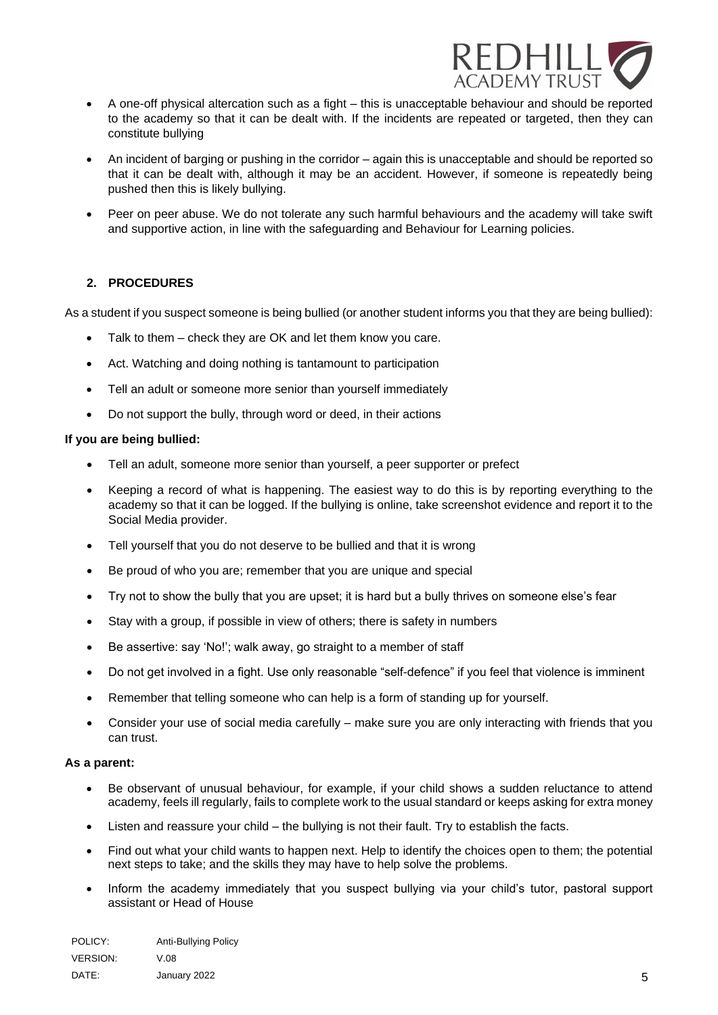

- A one-off physical altercation such as a fight this is unacceptable behaviour and should be reported to the academy so that it can be dealt with. If the incidents are repeated or targeted, then they can constitute bullying
- An incident of barging or pushing in the corridor again this is unacceptable and should be reported so that it can be dealt with, although it may be an accident. However, if someone is repeatedly being pushed then this is likely bullying.
- Peer on peer abuse. We do not tolerate any such harmful behaviours and the academy will take swift and supportive action, in line with the safeguarding and Behaviour for Learning policies.

## <span id="page-4-0"></span>**2. PROCEDURES**

As a student if you suspect someone is being bullied (or another student informs you that they are being bullied):

- Talk to them check they are OK and let them know you care.
- Act. Watching and doing nothing is tantamount to participation
- Tell an adult or someone more senior than yourself immediately
- Do not support the bully, through word or deed, in their actions

#### <span id="page-4-2"></span><span id="page-4-1"></span>**If you are being bullied:**

- Tell an adult, someone more senior than yourself, a peer supporter or prefect
- Keeping a record of what is happening. The easiest way to do this is by reporting everything to the academy so that it can be logged. If the bullying is online, take screenshot evidence and report it to the Social Media provider.
- Tell yourself that you do not deserve to be bullied and that it is wrong
- Be proud of who you are; remember that you are unique and special
- Try not to show the bully that you are upset; it is hard but a bully thrives on someone else's fear
- Stay with a group, if possible in view of others; there is safety in numbers
- Be assertive: say 'No!'; walk away, go straight to a member of staff
- Do not get involved in a fight. Use only reasonable "self-defence" if you feel that violence is imminent
- Remember that telling someone who can help is a form of standing up for yourself.
- Consider your use of social media carefully make sure you are only interacting with friends that you can trust.

#### **As a parent:**

- Be observant of unusual behaviour, for example, if your child shows a sudden reluctance to attend academy, feels ill regularly, fails to complete work to the usual standard or keeps asking for extra money
- Listen and reassure your child the bullying is not their fault. Try to establish the facts.
- Find out what your child wants to happen next. Help to identify the choices open to them; the potential next steps to take; and the skills they may have to help solve the problems.
- Inform the academy immediately that you suspect bullying via your child's tutor, pastoral support assistant or Head of House

| POLICY:  | Anti-Bullying Policy |
|----------|----------------------|
| VERSION: | $V_\cdot$ 08         |
| DATE:    | January 2022         |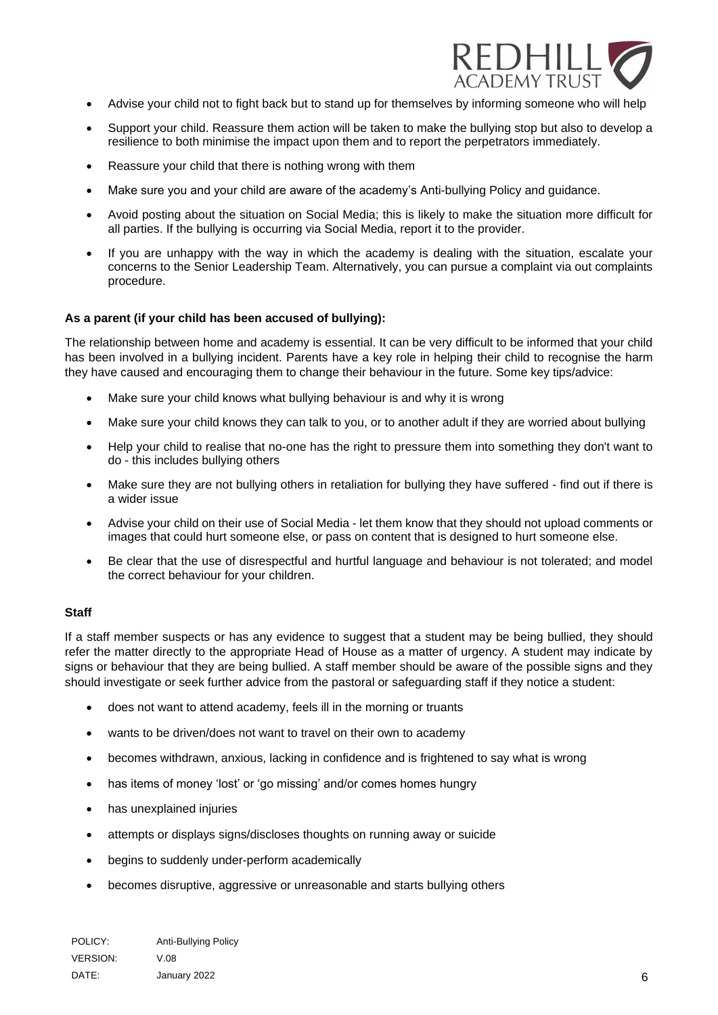

- Advise your child not to fight back but to stand up for themselves by informing someone who will help
- Support your child. Reassure them action will be taken to make the bullying stop but also to develop a resilience to both minimise the impact upon them and to report the perpetrators immediately.
- Reassure your child that there is nothing wrong with them
- Make sure you and your child are aware of the academy's Anti-bullying Policy and guidance.
- Avoid posting about the situation on Social Media; this is likely to make the situation more difficult for all parties. If the bullying is occurring via Social Media, report it to the provider.
- If you are unhappy with the way in which the academy is dealing with the situation, escalate your concerns to the Senior Leadership Team. Alternatively, you can pursue a complaint via out complaints procedure.

#### <span id="page-5-0"></span>**As a parent (if your child has been accused of bullying):**

The relationship between home and academy is essential. It can be very difficult to be informed that your child has been involved in a bullying incident. Parents have a key role in helping their child to recognise the harm they have caused and encouraging them to change their behaviour in the future. Some key tips/advice:

- Make sure your child knows what bullying behaviour is and why it is wrong
- Make sure your child knows they can talk to you, or to another adult if they are worried about bullying
- Help your child to realise that no-one has the right to pressure them into something they don't want to do - this includes bullying others
- Make sure they are not bullying others in retaliation for bullying they have suffered find out if there is a wider issue
- Advise your child on their use of Social Media let them know that they should not upload comments or images that could hurt someone else, or pass on content that is designed to hurt someone else.
- Be clear that the use of disrespectful and hurtful language and behaviour is not tolerated; and model the correct behaviour for your children.

#### <span id="page-5-1"></span>**Staff**

If a staff member suspects or has any evidence to suggest that a student may be being bullied, they should refer the matter directly to the appropriate Head of House as a matter of urgency. A student may indicate by signs or behaviour that they are being bullied. A staff member should be aware of the possible signs and they should investigate or seek further advice from the pastoral or safeguarding staff if they notice a student:

- does not want to attend academy, feels ill in the morning or truants
- wants to be driven/does not want to travel on their own to academy
- becomes withdrawn, anxious, lacking in confidence and is frightened to say what is wrong
- has items of money 'lost' or 'go missing' and/or comes homes hungry
- has unexplained injuries
- attempts or displays signs/discloses thoughts on running away or suicide
- begins to suddenly under-perform academically
- becomes disruptive, aggressive or unreasonable and starts bullying others

| POLICY:         | Anti-Bullying Policy |
|-----------------|----------------------|
| <b>VERSION:</b> | V.08                 |
| DATE:           | January 2022         |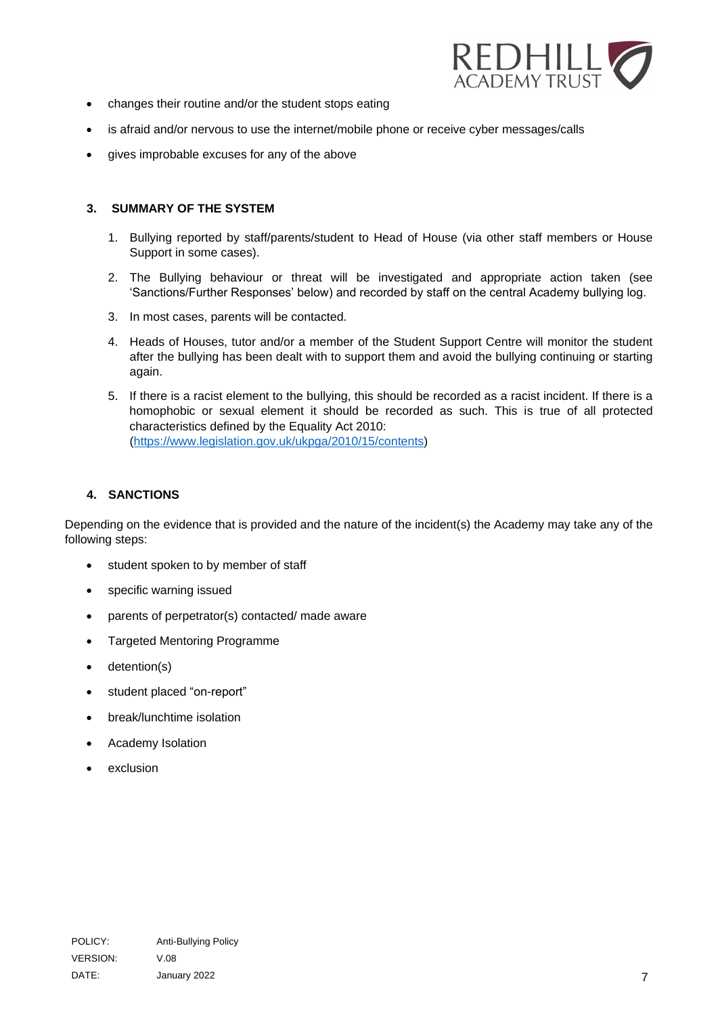

- changes their routine and/or the student stops eating
- is afraid and/or nervous to use the internet/mobile phone or receive cyber messages/calls
- gives improbable excuses for any of the above

### <span id="page-6-0"></span>**3. SUMMARY OF THE SYSTEM**

- 1. Bullying reported by staff/parents/student to Head of House (via other staff members or House Support in some cases).
- 2. The Bullying behaviour or threat will be investigated and appropriate action taken (see 'Sanctions/Further Responses' below) and recorded by staff on the central Academy bullying log.
- 3. In most cases, parents will be contacted.
- 4. Heads of Houses, tutor and/or a member of the Student Support Centre will monitor the student after the bullying has been dealt with to support them and avoid the bullying continuing or starting again.
- 5. If there is a racist element to the bullying, this should be recorded as a racist incident. If there is a homophobic or sexual element it should be recorded as such. This is true of all protected characteristics defined by the Equality Act 2010: [\(https://www.legislation.gov.uk/ukpga/2010/15/contents\)](https://www.legislation.gov.uk/ukpga/2010/15/contents)

## <span id="page-6-1"></span>**4. SANCTIONS**

Depending on the evidence that is provided and the nature of the incident(s) the Academy may take any of the following steps:

- student spoken to by member of staff
- specific warning issued
- parents of perpetrator(s) contacted/ made aware
- Targeted Mentoring Programme
- detention(s)
- student placed "on-report"
- break/lunchtime isolation
- Academy Isolation
- exclusion